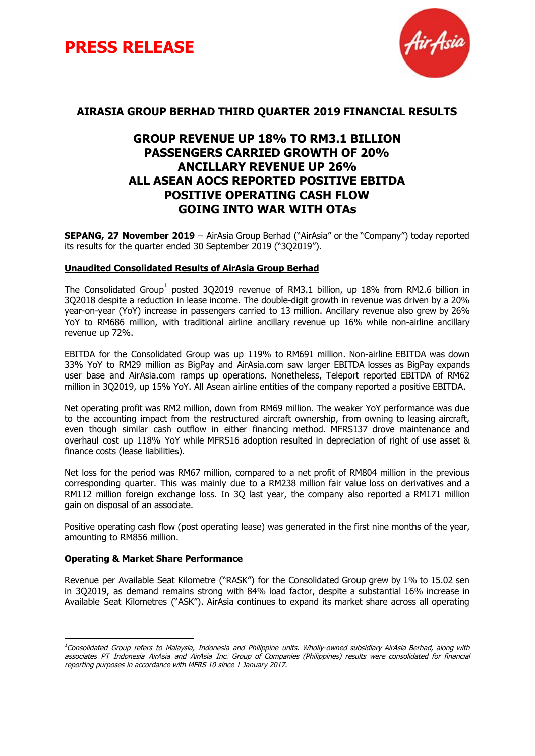



#### **AIRASIA GROUP BERHAD THIRD QUARTER 2019 FINANCIAL RESULTS**

### **GROUP REVENUE UP 18% TO RM3.1 BILLION PASSENGERS CARRIED GROWTH OF 20% ANCILLARY REVENUE UP 26% ALL ASEAN AOCS REPORTED POSITIVE EBITDA POSITIVE OPERATING CASH FLOW GOING INTO WAR WITH OTAs**

**SEPANG, 27 November 2019** – AirAsia Group Berhad ("AirAsia" or the "Company") today reported its results for the quarter ended 30 September 2019 ("3Q2019").

#### **Unaudited Consolidated Results of AirAsia Group Berhad**

The Consolidated Group<sup>1</sup> posted 3Q2019 revenue of RM3.1 billion, up 18% from RM2.6 billion in 3Q2018 despite a reduction in lease income. The double-digit growth in revenue was driven by a 20% year-on-year (YoY) increase in passengers carried to 13 million. Ancillary revenue also grew by 26% YoY to RM686 million, with traditional airline ancillary revenue up 16% while non-airline ancillary revenue up 72%.

EBITDA for the Consolidated Group was up 119% to RM691 million. Non-airline EBITDA was down 33% YoY to RM29 million as BigPay and AirAsia.com saw larger EBITDA losses as BigPay expands user base and AirAsia.com ramps up operations. Nonetheless, Teleport reported EBITDA of RM62 million in 3Q2019, up 15% YoY. All Asean airline entities of the company reported a positive EBITDA.

Net operating profit was RM2 million, down from RM69 million. The weaker YoY performance was due to the accounting impact from the restructured aircraft ownership, from owning to leasing aircraft, even though similar cash outflow in either financing method. MFRS137 drove maintenance and overhaul cost up 118% YoY while MFRS16 adoption resulted in depreciation of right of use asset & finance costs (lease liabilities).

Net loss for the period was RM67 million, compared to a net profit of RM804 million in the previous corresponding quarter. This was mainly due to a RM238 million fair value loss on derivatives and a RM112 million foreign exchange loss. In 3Q last year, the company also reported a RM171 million gain on disposal of an associate.

Positive operating cash flow (post operating lease) was generated in the first nine months of the year, amounting to RM856 million.

#### **Operating & Market Share Performance**

Revenue per Available Seat Kilometre ("RASK") for the Consolidated Group grew by 1% to 15.02 sen in 3Q2019, as demand remains strong with 84% load factor, despite a substantial 16% increase in Available Seat Kilometres ("ASK"). AirAsia continues to expand its market share across all operating

<sup>&</sup>lt;sup>1</sup>Consolidated Group refers to Malaysia, Indonesia and Philippine units. Wholly-owned subsidiary AirAsia Berhad, along with associates PT Indonesia AirAsia and AirAsia Inc. Group of Companies (Philippines) results were consolidated for financial reporting purposes in accordance with MFRS 10 since 1 January 2017.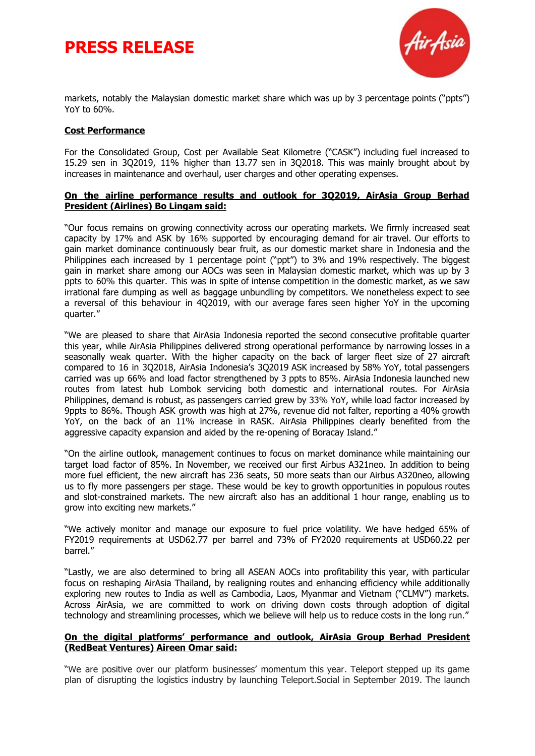



markets, notably the Malaysian domestic market share which was up by 3 percentage points ("ppts") YoY to 60%.

#### **Cost Performance**

For the Consolidated Group, Cost per Available Seat Kilometre ("CASK") including fuel increased to 15.29 sen in 3Q2019, 11% higher than 13.77 sen in 3Q2018. This was mainly brought about by increases in maintenance and overhaul, user charges and other operating expenses.

#### **On the airline performance results and outlook for 3Q2019, AirAsia Group Berhad President (Airlines) Bo Lingam said:**

"Our focus remains on growing connectivity across our operating markets. We firmly increased seat capacity by 17% and ASK by 16% supported by encouraging demand for air travel. Our efforts to gain market dominance continuously bear fruit, as our domestic market share in Indonesia and the Philippines each increased by 1 percentage point ("ppt") to 3% and 19% respectively. The biggest gain in market share among our AOCs was seen in Malaysian domestic market, which was up by 3 ppts to 60% this quarter. This was in spite of intense competition in the domestic market, as we saw irrational fare dumping as well as baggage unbundling by competitors. We nonetheless expect to see a reversal of this behaviour in 4Q2019, with our average fares seen higher YoY in the upcoming quarter."

"We are pleased to share that AirAsia Indonesia reported the second consecutive profitable quarter this year, while AirAsia Philippines delivered strong operational performance by narrowing losses in a seasonally weak quarter. With the higher capacity on the back of larger fleet size of 27 aircraft compared to 16 in 3Q2018, AirAsia Indonesia's 3Q2019 ASK increased by 58% YoY, total passengers carried was up 66% and load factor strengthened by 3 ppts to 85%. AirAsia Indonesia launched new routes from latest hub Lombok servicing both domestic and international routes. For AirAsia Philippines, demand is robust, as passengers carried grew by 33% YoY, while load factor increased by 9ppts to 86%. Though ASK growth was high at 27%, revenue did not falter, reporting a 40% growth YoY, on the back of an 11% increase in RASK. AirAsia Philippines clearly benefited from the aggressive capacity expansion and aided by the re-opening of Boracay Island."

"On the airline outlook, management continues to focus on market dominance while maintaining our target load factor of 85%. In November, we received our first Airbus A321neo. In addition to being more fuel efficient, the new aircraft has 236 seats, 50 more seats than our Airbus A320neo, allowing us to fly more passengers per stage. These would be key to growth opportunities in populous routes and slot-constrained markets. The new aircraft also has an additional 1 hour range, enabling us to grow into exciting new markets."

"We actively monitor and manage our exposure to fuel price volatility. We have hedged 65% of FY2019 requirements at USD62.77 per barrel and 73% of FY2020 requirements at USD60.22 per barrel."

"Lastly, we are also determined to bring all ASEAN AOCs into profitability this year, with particular focus on reshaping AirAsia Thailand, by realigning routes and enhancing efficiency while additionally exploring new routes to India as well as Cambodia, Laos, Myanmar and Vietnam ("CLMV") markets. Across AirAsia, we are committed to work on driving down costs through adoption of digital technology and streamlining processes, which we believe will help us to reduce costs in the long run."

#### **On the digital platforms' performance and outlook, AirAsia Group Berhad President (RedBeat Ventures) Aireen Omar said:**

"We are positive over our platform businesses' momentum this year. Teleport stepped up its game plan of disrupting the logistics industry by launching Teleport.Social in September 2019. The launch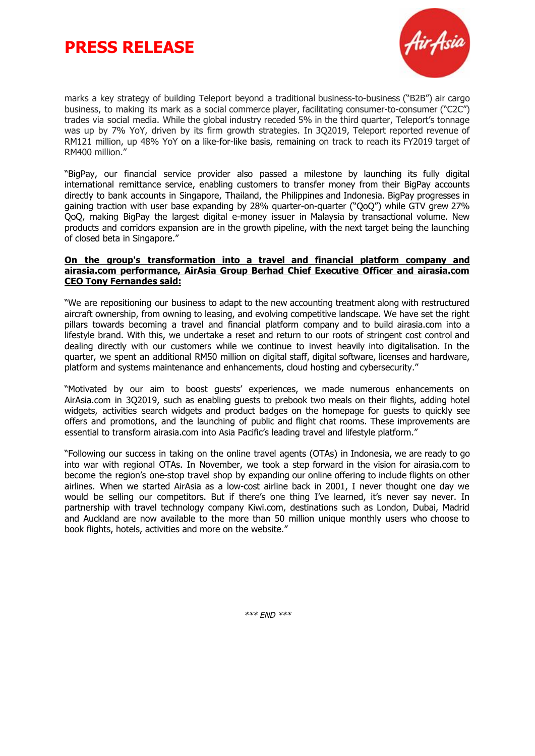



marks a key strategy of building Teleport beyond a traditional business-to-business ("B2B") air cargo business, to making its mark as a social commerce player, facilitating consumer-to-consumer ("C2C") trades via social media. While the global industry receded 5% in the third quarter, Teleport's tonnage was up by 7% YoY, driven by its firm growth strategies. In 3Q2019, Teleport reported revenue of RM121 million, up 48% YoY on a like-for-like basis, remaining on track to reach its FY2019 target of RM400 million."

"BigPay, our financial service provider also passed a milestone by launching its fully digital international remittance service, enabling customers to transfer money from their BigPay accounts directly to bank accounts in Singapore, Thailand, the Philippines and Indonesia. BigPay progresses in gaining traction with user base expanding by 28% quarter-on-quarter ("QoQ") while GTV grew 27% QoQ, making BigPay the largest digital e-money issuer in Malaysia by transactional volume. New products and corridors expansion are in the growth pipeline, with the next target being the launching of closed beta in Singapore."

#### **On the group's transformation into a travel and financial platform company and airasia.com performance, AirAsia Group Berhad Chief Executive Officer and airasia.com CEO Tony Fernandes said:**

"We are repositioning our business to adapt to the new accounting treatment along with restructured aircraft ownership, from owning to leasing, and evolving competitive landscape. We have set the right pillars towards becoming a travel and financial platform company and to build airasia.com into a lifestyle brand. With this, we undertake a reset and return to our roots of stringent cost control and dealing directly with our customers while we continue to invest heavily into digitalisation. In the quarter, we spent an additional RM50 million on digital staff, digital software, licenses and hardware, platform and systems maintenance and enhancements, cloud hosting and cybersecurity."

"Motivated by our aim to boost guests' experiences, we made numerous enhancements on AirAsia.com in 3Q2019, such as enabling guests to prebook two meals on their flights, adding hotel widgets, activities search widgets and product badges on the homepage for guests to quickly see offers and promotions, and the launching of public and flight chat rooms. These improvements are essential to transform airasia.com into Asia Pacific's leading travel and lifestyle platform."

"Following our success in taking on the online travel agents (OTAs) in Indonesia, we are ready to go into war with regional OTAs. In November, we took a step forward in the vision for airasia.com to become the region's one-stop travel shop by expanding our online offering to include flights on other airlines. When we started AirAsia as a low-cost airline back in 2001, I never thought one day we would be selling our competitors. But if there's one thing I've learned, it's never say never. In partnership with travel technology company Kiwi.com, destinations such as London, Dubai, Madrid and Auckland are now available to the more than 50 million unique monthly users who choose to book flights, hotels, activities and more on the website."